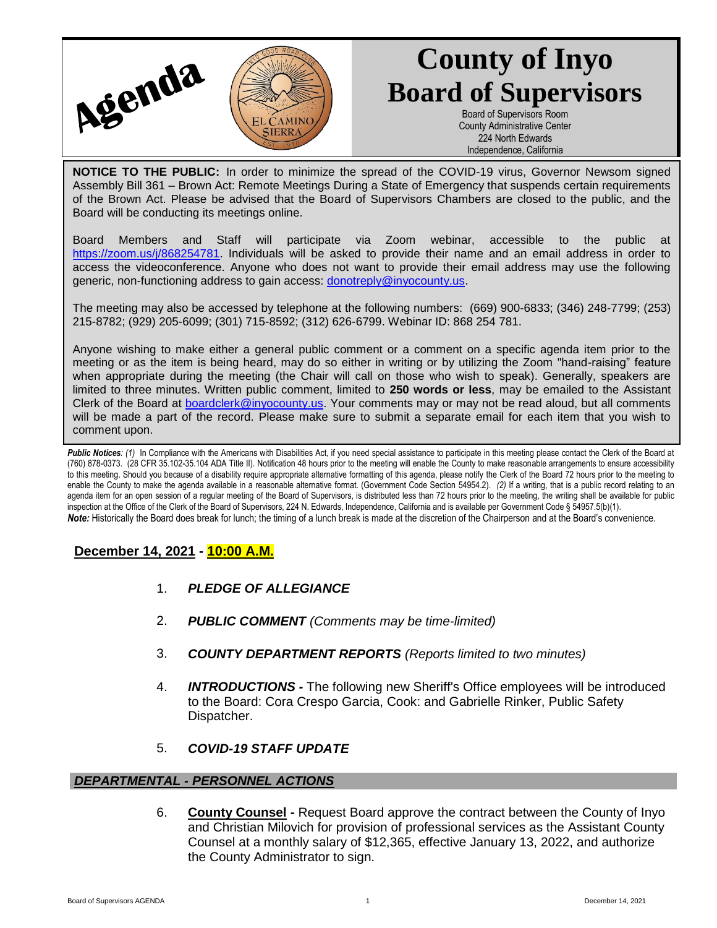

# **County of Inyo Board of Supervisors**

Board of Supervisors Room County Administrative Center 224 North Edwards Independence, California

**NOTICE TO THE PUBLIC:** In order to minimize the spread of the COVID-19 virus, Governor Newsom signed Assembly Bill 361 – Brown Act: Remote Meetings During a State of Emergency that suspends certain requirements of the Brown Act. Please be advised that the Board of Supervisors Chambers are closed to the public, and the Board will be conducting its meetings online.

Board Members and Staff will participate via Zoom webinar, accessible to the public at [https://zoom.us/j/868254781.](https://zoom.us/j/868254781) Individuals will be asked to provide their name and an email address in order to access the videoconference. Anyone who does not want to provide their email address may use the following generic, non-functioning address to gain access: [donotreply@inyocounty.us.](mailto:donotreply@inyocounty.us)

The meeting may also be accessed by telephone at the following numbers: (669) 900-6833; (346) 248-7799; (253) 215-8782; (929) 205-6099; (301) 715-8592; (312) 626-6799. Webinar ID: 868 254 781.

Anyone wishing to make either a general public comment or a comment on a specific agenda item prior to the meeting or as the item is being heard, may do so either in writing or by utilizing the Zoom "hand-raising" feature when appropriate during the meeting (the Chair will call on those who wish to speak). Generally, speakers are limited to three minutes. Written public comment, limited to **250 words or less**, may be emailed to the Assistant Clerk of the Board at [boardclerk@inyocounty.us.](mailto:boardclerk@inyocounty.us) Your comments may or may not be read aloud, but all comments will be made a part of the record. Please make sure to submit a separate email for each item that you wish to comment upon.

Public Notices: (1) In Compliance with the Americans with Disabilities Act, if you need special assistance to participate in this meeting please contact the Clerk of the Board at (760) 878-0373. (28 CFR 35.102-35.104 ADA Title II). Notification 48 hours prior to the meeting will enable the County to make reasonable arrangements to ensure accessibility to this meeting. Should you because of a disability require appropriate alternative formatting of this agenda, please notify the Clerk of the Board 72 hours prior to the meeting to enable the County to make the agenda available in a reasonable alternative format. (Government Code Section 54954.2). *(2)* If a writing, that is a public record relating to an agenda item for an open session of a regular meeting of the Board of Supervisors, is distributed less than 72 hours prior to the meeting, the writing shall be available for public inspection at the Office of the Clerk of the Board of Supervisors, 224 N. Edwards, Independence, California and is available per Government Code § 54957.5(b)(1). *Note:* Historically the Board does break for lunch; the timing of a lunch break is made at the discretion of the Chairperson and at the Board's convenience.

# **December 14, 2021 - 10:00 A.M.**

- 1. *PLEDGE OF ALLEGIANCE*
- 2. *PUBLIC COMMENT (Comments may be time-limited)*
- 3. *COUNTY DEPARTMENT REPORTS (Reports limited to two minutes)*
- 4. *INTRODUCTIONS -* The following new Sheriff's Office employees will be introduced to the Board: Cora Crespo Garcia, Cook: and Gabrielle Rinker, Public Safety Dispatcher.
- 5. *COVID-19 STAFF UPDATE*

### *DEPARTMENTAL - PERSONNEL ACTIONS*

6. **County Counsel -** Request Board approve the contract between the County of Inyo and Christian Milovich for provision of professional services as the Assistant County Counsel at a monthly salary of \$12,365, effective January 13, 2022, and authorize the County Administrator to sign.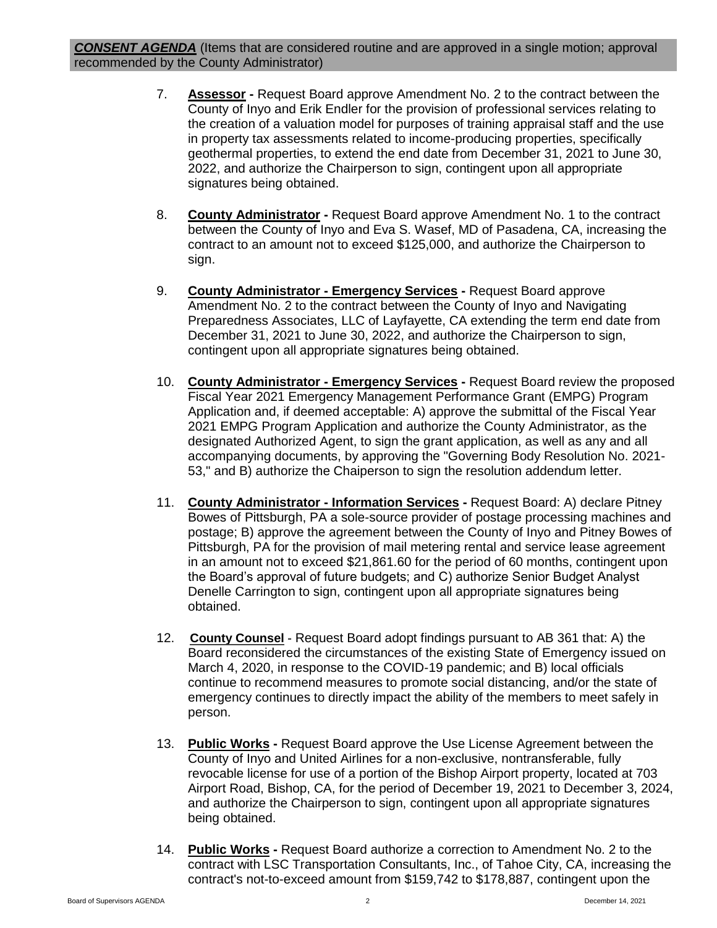*CONSENT AGENDA* (Items that are considered routine and are approved in a single motion; approval recommended by the County Administrator)

- 7. **Assessor -** Request Board approve Amendment No. 2 to the contract between the County of Inyo and Erik Endler for the provision of professional services relating to the creation of a valuation model for purposes of training appraisal staff and the use in property tax assessments related to income-producing properties, specifically geothermal properties, to extend the end date from December 31, 2021 to June 30, 2022, and authorize the Chairperson to sign, contingent upon all appropriate signatures being obtained.
- 8. **County Administrator -** Request Board approve Amendment No. 1 to the contract between the County of Inyo and Eva S. Wasef, MD of Pasadena, CA, increasing the contract to an amount not to exceed \$125,000, and authorize the Chairperson to sign.
- 9. **County Administrator - Emergency Services -** Request Board approve Amendment No. 2 to the contract between the County of Inyo and Navigating Preparedness Associates, LLC of Layfayette, CA extending the term end date from December 31, 2021 to June 30, 2022, and authorize the Chairperson to sign, contingent upon all appropriate signatures being obtained.
- 10. **County Administrator - Emergency Services -** Request Board review the proposed Fiscal Year 2021 Emergency Management Performance Grant (EMPG) Program Application and, if deemed acceptable: A) approve the submittal of the Fiscal Year 2021 EMPG Program Application and authorize the County Administrator, as the designated Authorized Agent, to sign the grant application, as well as any and all accompanying documents, by approving the "Governing Body Resolution No. 2021- 53," and B) authorize the Chaiperson to sign the resolution addendum letter.
- 11. **County Administrator - Information Services -** Request Board: A) declare Pitney Bowes of Pittsburgh, PA a sole-source provider of postage processing machines and postage; B) approve the agreement between the County of Inyo and Pitney Bowes of Pittsburgh, PA for the provision of mail metering rental and service lease agreement in an amount not to exceed \$21,861.60 for the period of 60 months, contingent upon the Board's approval of future budgets; and C) authorize Senior Budget Analyst Denelle Carrington to sign, contingent upon all appropriate signatures being obtained.
- 12. **County Counsel -** Request Board adopt findings pursuant to AB 361 that: A) the Board reconsidered the circumstances of the existing State of Emergency issued on March 4, 2020, in response to the COVID-19 pandemic; and B) local officials continue to recommend measures to promote social distancing, and/or the state of emergency continues to directly impact the ability of the members to meet safely in person.
- 13. **Public Works -** Request Board approve the Use License Agreement between the County of Inyo and United Airlines for a non-exclusive, nontransferable, fully revocable license for use of a portion of the Bishop Airport property, located at 703 Airport Road, Bishop, CA, for the period of December 19, 2021 to December 3, 2024, and authorize the Chairperson to sign, contingent upon all appropriate signatures being obtained.
- 14. **Public Works -** Request Board authorize a correction to Amendment No. 2 to the contract with LSC Transportation Consultants, Inc., of Tahoe City, CA, increasing the contract's not-to-exceed amount from \$159,742 to \$178,887, contingent upon the